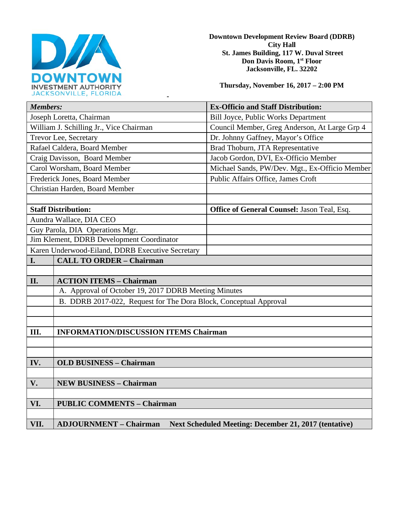

**Downtown Development Review Board (DDRB) City Hall St. James Building, 117 W. Duval Street Don Davis Room, 1st Floor Jacksonville, FL. 32202** 

**Thursday, November 16, 2017 – 2:00 PM**

| JACROUNVILLE, FLUNIDA                                                                                 |                                                |
|-------------------------------------------------------------------------------------------------------|------------------------------------------------|
| <b>Members:</b>                                                                                       | <b>Ex-Officio and Staff Distribution:</b>      |
| Joseph Loretta, Chairman                                                                              | <b>Bill Joyce, Public Works Department</b>     |
| William J. Schilling Jr., Vice Chairman                                                               | Council Member, Greg Anderson, At Large Grp 4  |
| Trevor Lee, Secretary                                                                                 | Dr. Johnny Gaffney, Mayor's Office             |
| Rafael Caldera, Board Member                                                                          | Brad Thoburn, JTA Representative               |
| Craig Davisson, Board Member                                                                          | Jacob Gordon, DVI, Ex-Officio Member           |
| Carol Worsham, Board Member                                                                           | Michael Sands, PW/Dev. Mgt., Ex-Officio Member |
| Frederick Jones, Board Member                                                                         | Public Affairs Office, James Croft             |
| Christian Harden, Board Member                                                                        |                                                |
|                                                                                                       |                                                |
| <b>Staff Distribution:</b>                                                                            | Office of General Counsel: Jason Teal, Esq.    |
| Aundra Wallace, DIA CEO                                                                               |                                                |
| Guy Parola, DIA Operations Mgr.                                                                       |                                                |
| Jim Klement, DDRB Development Coordinator                                                             |                                                |
| Karen Underwood-Eiland, DDRB Executive Secretary                                                      |                                                |
| <b>CALL TO ORDER - Chairman</b><br>I.                                                                 |                                                |
|                                                                                                       |                                                |
| II.<br><b>ACTION ITEMS - Chairman</b>                                                                 |                                                |
| A. Approval of October 19, 2017 DDRB Meeting Minutes                                                  |                                                |
| B. DDRB 2017-022, Request for The Dora Block, Conceptual Approval                                     |                                                |
|                                                                                                       |                                                |
|                                                                                                       |                                                |
| Ш.<br><b>INFORMATION/DISCUSSION ITEMS Chairman</b>                                                    |                                                |
|                                                                                                       |                                                |
|                                                                                                       |                                                |
| IV.<br><b>OLD BUSINESS - Chairman</b>                                                                 |                                                |
|                                                                                                       |                                                |
| V.<br><b>NEW BUSINESS - Chairman</b>                                                                  |                                                |
|                                                                                                       |                                                |
| VI.<br><b>PUBLIC COMMENTS - Chairman</b>                                                              |                                                |
|                                                                                                       |                                                |
| VII.<br><b>ADJOURNMENT - Chairman</b><br><b>Next Scheduled Meeting: December 21, 2017 (tentative)</b> |                                                |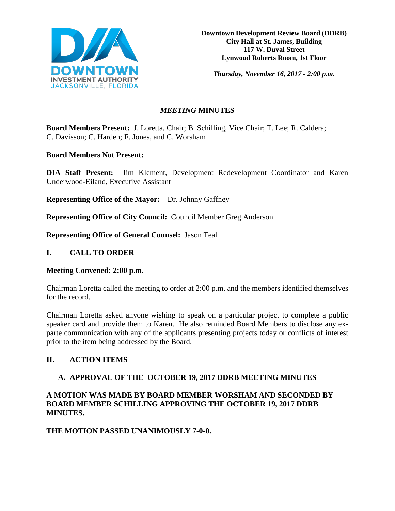

**Downtown Development Review Board (DDRB) City Hall at St. James, Building 117 W. Duval Street Lynwood Roberts Room, 1st Floor**

*Thursday, November 16, 2017 - 2:00 p.m.*

# *MEETING* **MINUTES**

**Board Members Present:** J. Loretta, Chair; B. Schilling, Vice Chair; T. Lee; R. Caldera; C. Davisson; C. Harden; F. Jones, and C. Worsham

## **Board Members Not Present:**

**DIA Staff Present:** Jim Klement, Development Redevelopment Coordinator and Karen Underwood-Eiland, Executive Assistant

**Representing Office of the Mayor:** Dr. Johnny Gaffney

**Representing Office of City Council:** Council Member Greg Anderson

**Representing Office of General Counsel:** Jason Teal

## **I. CALL TO ORDER**

### **Meeting Convened: 2:00 p.m.**

Chairman Loretta called the meeting to order at 2:00 p.m. and the members identified themselves for the record.

Chairman Loretta asked anyone wishing to speak on a particular project to complete a public speaker card and provide them to Karen. He also reminded Board Members to disclose any exparte communication with any of the applicants presenting projects today or conflicts of interest prior to the item being addressed by the Board.

## **II. ACTION ITEMS**

## **A. APPROVAL OF THE OCTOBER 19, 2017 DDRB MEETING MINUTES**

## **A MOTION WAS MADE BY BOARD MEMBER WORSHAM AND SECONDED BY BOARD MEMBER SCHILLING APPROVING THE OCTOBER 19, 2017 DDRB MINUTES.**

## **THE MOTION PASSED UNANIMOUSLY 7-0-0.**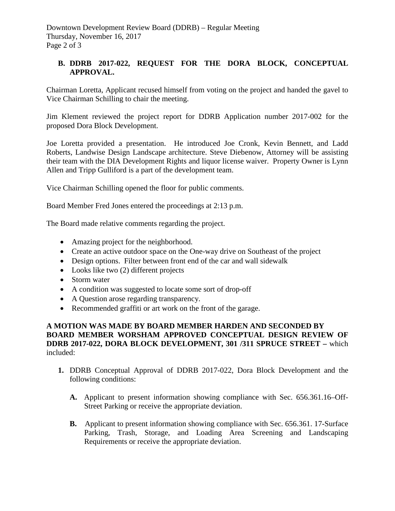# **B. DDRB 2017-022, REQUEST FOR THE DORA BLOCK, CONCEPTUAL APPROVAL.**

Chairman Loretta, Applicant recused himself from voting on the project and handed the gavel to Vice Chairman Schilling to chair the meeting.

Jim Klement reviewed the project report for DDRB Application number 2017-002 for the proposed Dora Block Development.

Joe Loretta provided a presentation. He introduced Joe Cronk, Kevin Bennett, and Ladd Roberts, Landwise Design Landscape architecture. Steve Diebenow, Attorney will be assisting their team with the DIA Development Rights and liquor license waiver. Property Owner is Lynn Allen and Tripp Gulliford is a part of the development team.

Vice Chairman Schilling opened the floor for public comments.

Board Member Fred Jones entered the proceedings at 2:13 p.m.

The Board made relative comments regarding the project.

- Amazing project for the neighborhood.
- Create an active outdoor space on the One-way drive on Southeast of the project
- Design options. Filter between front end of the car and wall sidewalk
- Looks like two (2) different projects
- Storm water
- A condition was suggested to locate some sort of drop-off
- A Question arose regarding transparency.
- Recommended graffiti or art work on the front of the garage.

## **A MOTION WAS MADE BY BOARD MEMBER HARDEN AND SECONDED BY BOARD MEMBER WORSHAM APPROVED CONCEPTUAL DESIGN REVIEW OF DDRB 2017-022, DORA BLOCK DEVELOPMENT, 301 /311 SPRUCE STREET –** which included:

- **1.** DDRB Conceptual Approval of DDRB 2017-022, Dora Block Development and the following conditions:
	- **A.** Applicant to present information showing compliance with Sec. 656.361.16–Off-Street Parking or receive the appropriate deviation.
	- **B.** Applicant to present information showing compliance with Sec. 656.361. 17-Surface Parking, Trash, Storage, and Loading Area Screening and Landscaping Requirements or receive the appropriate deviation.